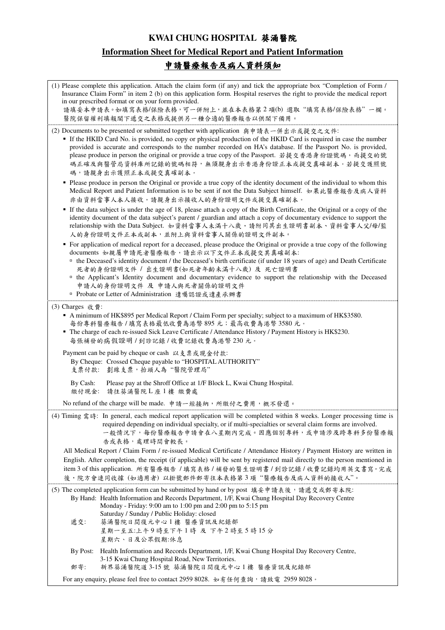## **KWAI CHUNG HOSPITAL** 葵涌醫院 **Information Sheet for Medical Report and Patient Information**  申請醫療報告及病人資料須知

| (1) Please complete this application. Attach the claim form (if any) and tick the appropriate box "Completion of Form /<br>Insurance Claim Form" in item 2 (b) on this application form. Hospital reserves the right to provide the medical report<br>in our prescribed format or on your form provided.<br>請填妥本申請表。如填寫表格/保險表格,可一併附上,並在本表格第2項(b) 選取"填寫表格/保險表格"一欄。<br>醫院保留權利填報閣下遞交之表格或提供另一種合適的醫療報告以供閣下備用。                                                                                                |  |  |  |  |  |
|---------------------------------------------------------------------------------------------------------------------------------------------------------------------------------------------------------------------------------------------------------------------------------------------------------------------------------------------------------------------------------------------------------------------------------------------------------------------------------------------------------|--|--|--|--|--|
| (2) Documents to be presented or submitted together with application 與申請表一併出示或提交之文件:<br>If the HKID Card No. is provided, no copy or physical production of the HKID Card is required in case the number<br>provided is accurate and corresponds to the number recorded on HA's database. If the Passport No. is provided,<br>please produce in person the original or provide a true copy of the Passport. 若提交香港身份證號碼, 而提交的號<br>碼正確及與醫管局資料庫所記錄的號碼相符,無須親身出示香港身份證正本或提交真確副本。若提交護照號<br>碼,請親身出示護照正本或提交真確副本。 |  |  |  |  |  |
| Please produce in person the Original or provide a true copy of the identity document of the individual to whom this<br>Medical Report and Patient Information is to be sent if not the Data Subject himself. 如果此醫療報告及病人資料<br>非由資料當事人本人接收,請親身出示接收人的身份證明文件或提交真確副本。                                                                                                                                                                                                                                       |  |  |  |  |  |
| If the data subject is under the age of 18, please attach a copy of the Birth Certificate, the Original or a copy of the<br>identity document of the data subject's parent / guardian and attach a copy of documentary evidence to support the<br>relationship with the Data Subject. 如資料當事人未滿十八歲,請附同其出生證明書副本、資料當事人父/母/監<br>人的身份證明文件正本或副本,並附上與資料當事人關係的證明文件副本。                                                                                                                                           |  |  |  |  |  |
| For application of medical report for a deceased, please produce the Original or provide a true copy of the following<br>٠<br>documents 如親屬申請死者醫療報告,請出示以下文件正本或提交其真確副本:<br><sup>n</sup> the Deceased's identity document / the Deceased's birth certificate (if under 18 years of age) and Death Certificate<br>死者的身份證明文件 / 出生證明書(如死者年齡未滿十八歲)及 死亡證明書<br><sup>n</sup> the Applicant's Identity document and documentary evidence to support the relationship with the Deceased                            |  |  |  |  |  |
| 申請人的身份證明文件 及 申請人與死者關係的證明文件<br>□ Probate or Letter of Administration 遺囑認證或遺產承辦書                                                                                                                                                                                                                                                                                                                                                                                                                          |  |  |  |  |  |
| (3) Charges 收費:<br>• A minimum of HK\$895 per Medical Report / Claim Form per specialty; subject to a maximum of HK\$3580.<br>每份專科醫療報告 / 填寫表格最低收費為港幣 895 元;最高收費為港幣 3580 元。<br>• The charge of each re-issued Sick Leave Certificate / Attendance History / Payment History is HK\$230.<br>每張補發的病假證明 / 到診記錄 / 收費記錄收費為港幣 230 元。                                                                                                                                                                           |  |  |  |  |  |
| Payment can be paid by cheque or cash 以支票或現金付款:<br>By Cheque: Crossed Cheque payable to "HOSPITAL AUTHORITY"<br>劃線支票,抬頭人為"醫院管理局"<br>支票付款:                                                                                                                                                                                                                                                                                                                                                               |  |  |  |  |  |
| Please pay at the Shroff Office at 1/F Block L, Kwai Chung Hospital.<br>By Cash:<br>請往葵涌醫院L座1樓 繳費處<br>繳付現金:                                                                                                                                                                                                                                                                                                                                                                                             |  |  |  |  |  |
| No refund of the charge will be made. 申請一經接納,所繳付之費用,概不發還。                                                                                                                                                                                                                                                                                                                                                                                                                                               |  |  |  |  |  |
| (4) Timing 需時: In general, each medical report application will be completed within 8 weeks. Longer processing time is<br>required depending on individual specialty, or if multi-specialties or several claim forms are involved.<br>一般情況下,每份醫療報告申請會在八星期內完成。因應個別專科,或申請涉及跨專科多份醫療報<br>告或表格,處理時間會較長。                                                                                                                                                                                                      |  |  |  |  |  |
| All Medical Report / Claim Form / re-issued Medical Certificate / Attendance History / Payment History are written in<br>English. After completion, the receipt (if applicable) will be sent by registered mail directly to the person mentioned in<br>item 3 of this application. 所有醫療報告 / 填寫表格 / 補發的醫生證明書 / 到診記錄 / 收費記錄均用英文書寫。完成<br>後,院方會連同收據 (如適用者) 以掛號郵件郵寄往本表格第3項"醫療報告及病人資料的接收人"。                                                                                                                   |  |  |  |  |  |
| (5) The completed application form can be submitted by hand or by post 填妥申請表後,請遞交或郵寄本院:<br>By Hand: Health Information and Records Department, 1/F, Kwai Chung Hospital Day Recovery Centre<br>Monday - Friday: 9:00 am to 1:00 pm and 2:00 pm to 5:15 pm<br>Saturday / Sunday / Public Holiday: closed<br>遞交:<br>葵涌醫院日間復元中心1樓 醫療資訊及紀錄部<br>星期一至五:上午9時至下午1時 及 下午2時至5時15分<br>星期六、日及公眾假期:休息                                                                                                                |  |  |  |  |  |
| By Post: Health Information and Records Department, 1/F, Kwai Chung Hospital Day Recovery Centre,<br>3-15 Kwai Chung Hospital Road, New Territories.<br>新界葵涌醫院道 3-15號 葵涌醫院日間復元中心1樓 醫療資訊及紀錄部<br>郵寄:                                                                                                                                                                                                                                                                                                      |  |  |  |  |  |
| For any enquiry, please feel free to contact 2959 8028. 如有任何查詢, 請致電 2959 8028。                                                                                                                                                                                                                                                                                                                                                                                                                          |  |  |  |  |  |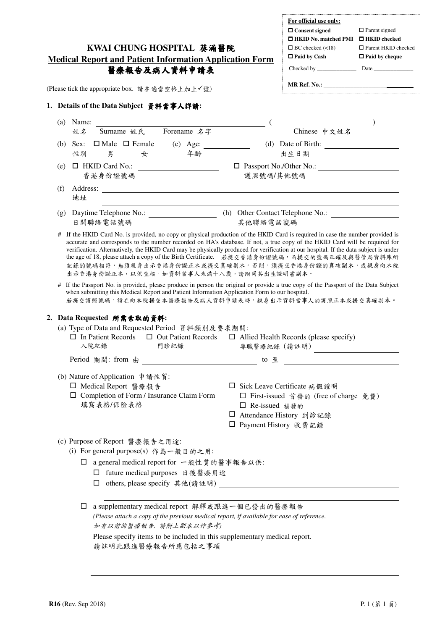| KWAI CHUNG HOSPITAL 葵涌醫院<br><b>Medical Report and Patient Information Application Form</b><br>醫療報告及病人資料申請表                                                                                                                                                                                                                                                                                                                                                                                                                                                                                                                                                                                                                                                                                                                                                                                             | For official use only:<br>$\Box$ Consent signed<br>$\Box$ HKID No. matched PMI $\Box$ HKID checked<br>$\Box$ BC checked (<18)<br>$\Box$ Paid by Cash | $\Box$ Parent signed<br>□ Parent HKID checked<br>$\Box$ Paid by cheque  |               |
|--------------------------------------------------------------------------------------------------------------------------------------------------------------------------------------------------------------------------------------------------------------------------------------------------------------------------------------------------------------------------------------------------------------------------------------------------------------------------------------------------------------------------------------------------------------------------------------------------------------------------------------------------------------------------------------------------------------------------------------------------------------------------------------------------------------------------------------------------------------------------------------------------------|------------------------------------------------------------------------------------------------------------------------------------------------------|-------------------------------------------------------------------------|---------------|
| (Please tick the appropriate box. 請在適當空格上加上√號)                                                                                                                                                                                                                                                                                                                                                                                                                                                                                                                                                                                                                                                                                                                                                                                                                                                         |                                                                                                                                                      |                                                                         |               |
| 1. Details of the Data Subject 資料當事人詳請:                                                                                                                                                                                                                                                                                                                                                                                                                                                                                                                                                                                                                                                                                                                                                                                                                                                                |                                                                                                                                                      |                                                                         |               |
| $(a)$ Name:                                                                                                                                                                                                                                                                                                                                                                                                                                                                                                                                                                                                                                                                                                                                                                                                                                                                                            | $\overline{\phantom{a}}$ (                                                                                                                           |                                                                         | $\mathcal{E}$ |
| Forename 名字<br>Surname 姓氏<br>姓名                                                                                                                                                                                                                                                                                                                                                                                                                                                                                                                                                                                                                                                                                                                                                                                                                                                                        |                                                                                                                                                      | Chinese 中文姓名                                                            |               |
| $\Box$ Male $\Box$ Female (c) Age: (d) Date of Birth:<br>Sex:<br>(b)<br>年齢<br>男<br>性別<br>女                                                                                                                                                                                                                                                                                                                                                                                                                                                                                                                                                                                                                                                                                                                                                                                                             |                                                                                                                                                      | 出生日期                                                                    |               |
| $\Box$ HKID Card No.: $\Box$<br>(e)                                                                                                                                                                                                                                                                                                                                                                                                                                                                                                                                                                                                                                                                                                                                                                                                                                                                    |                                                                                                                                                      |                                                                         |               |
| 香港身份證號碼                                                                                                                                                                                                                                                                                                                                                                                                                                                                                                                                                                                                                                                                                                                                                                                                                                                                                                | 護照號碼/其他號碼                                                                                                                                            |                                                                         |               |
| (f)<br>地址                                                                                                                                                                                                                                                                                                                                                                                                                                                                                                                                                                                                                                                                                                                                                                                                                                                                                              |                                                                                                                                                      |                                                                         |               |
| Daytime Telephone No.: (h) Other Contact Telephone No.:<br>(g)<br>日間聯絡電話號碼                                                                                                                                                                                                                                                                                                                                                                                                                                                                                                                                                                                                                                                                                                                                                                                                                             | 其他聯絡電話號碼                                                                                                                                             |                                                                         |               |
| # If the HKID Card No. is provided, no copy or physical production of the HKID Card is required in case the number provided is<br>accurate and corresponds to the number recorded on HA's database. If not, a true copy of the HKID Card will be required for<br>verification. Alternatively, the HKID Card may be physically produced for verification at our hospital. If the data subject is under<br>the age of 18, please attach a copy of the Birth Certificate. 若提交香港身份證號碼,而提交的號碼正確及與醫管局資料庫所<br>記錄的號碼相符,無須親身出示香港身份證正本或提交真確副本。否則,須提交香港身份證的真確副本,或親身向本院<br>出示香港身份證正本,以供查核。如資料當事人未滿十八歲,請附同其出生證明書副本。<br># If the Passport No. is provided, please produce in person the original or provide a true copy of the Passport of the Data Subject<br>when submitting this Medical Report and Patient Information Application Form to our hospital.<br>若提交護照號碼,請在向本院提交本醫療報告及病人資料申請表時,親身出示資料當事人的護照正本或提交真確副本。 |                                                                                                                                                      |                                                                         |               |
| 2. Data Requested 所需索取的資料:<br>(a) Type of Data and Requested Period 資料類別及要求期間:<br>$\Box$ In Patient Records $\Box$ Out Patient Records $\Box$ Allied Health Records (please specify)<br>入院紀錄        門診紀錄         專職醫療紀錄 (請註明)                                                                                                                                                                                                                                                                                                                                                                                                                                                                                                                                                                                                                                                                          |                                                                                                                                                      |                                                                         |               |
|                                                                                                                                                                                                                                                                                                                                                                                                                                                                                                                                                                                                                                                                                                                                                                                                                                                                                                        |                                                                                                                                                      | to $\overline{\mathfrak{L}}$                                            |               |
| (b) Nature of Application 申請性質:<br>□ Medical Report 醫療報告<br>$\Box$ Completion of Form / Insurance Claim Form<br>填寫表格/保險表格                                                                                                                                                                                                                                                                                                                                                                                                                                                                                                                                                                                                                                                                                                                                                                              | □ Re-issued 補發的<br>□ Attendance History 到診記錄<br>□ Payment History 收費記錄                                                                               | □ Sick Leave Certificate 病假證明<br>□ First-issued 首發的 (free of charge 免費) |               |
| (c) Purpose of Report 醫療報告之用途:<br>(i) For general purpose(s) 作為一般目的之用:<br>□ a general medical report for 一般性質的醫事報告以供:<br>□ future medical purposes 日後醫療用途                                                                                                                                                                                                                                                                                                                                                                                                                                                                                                                                                                                                                                                                                                                                              |                                                                                                                                                      |                                                                         |               |
| a supplementary medical report 解釋或跟進一個已發出的醫療報告<br>Ш<br>(Please attach a copy of the previous medical report, if available for ease of reference.<br>如有以前的醫療報告,請附上副本以作參考)                                                                                                                                                                                                                                                                                                                                                                                                                                                                                                                                                                                                                                                                                                                               |                                                                                                                                                      |                                                                         |               |
| Please specify items to be included in this supplementary medical report.<br>請註明此跟進醫療報告所應包括之事項                                                                                                                                                                                                                                                                                                                                                                                                                                                                                                                                                                                                                                                                                                                                                                                                         |                                                                                                                                                      |                                                                         |               |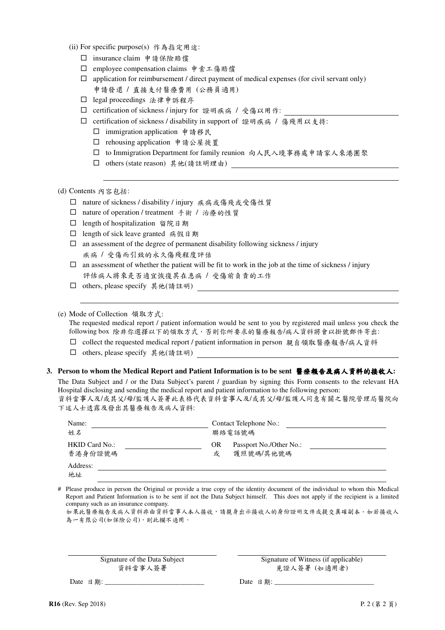- (ii) For specific purpose(s) 作為指定用途:
	- □ insurance claim 申請保險賠償
	- □ employee compensation claims 申索工傷賠償
	- $\Box$  application for reimbursement / direct payment of medical expenses (for civil servant only) 申請發還 / 直接支付醫療費用 (公務員適用)
	- □ legal proceedings 法律申訴程序
	- □ certification of sickness / injury for 證明疾病 / 受傷以用作:
	- □ certification of sickness / disability in support of 證明疾病 / 傷殘用以支持:
		- □ immigration application 申請移民
		- □ rehousing application 申請公屋徙置
		- to Immigration Department for family reunion 向人民入境事務處申請家人來港團聚
		- others (state reason) 其他(請註明理由)

(d) Contents 內容包括:

- □ nature of sickness / disability / injury 疾病或傷殘或受傷性質
- □ nature of operation / treatment 手術 / 治療的性質
- □ length of hospitalization 留院日期
- □ length of sick leave granted 病假日期
- $\Box$  an assessment of the degree of permanent disability following sickness / injury 疾病 / 受傷而引致的永久傷殘程度評估
- $\Box$  an assessment of whether the patient will be fit to work in the job at the time of sickness / injury 評估病人將來是否適宜恢復其在患病 / 受傷前負責的工作
- others, please specify 其他(請註明)

(e) Mode of Collection 領取方式:

The requested medical report / patient information would be sent to you by registered mail unless you check the following box 除非你選擇以下的領取方式,否則你所要求的醫療報告/病人資料將會以掛號郵件寄出:

- □ collect the requested medical report / patient information in person 親自領取醫療報告/病人資料
- □ others, please specify 其他(請註明)

## **3. Person to whom the Medical Report and Patient Information is to be sent** 醫療報告及病人資料的接收人**:**

The Data Subject and / or the Data Subject's parent / guardian by signing this Form consents to the relevant HA Hospital disclosing and sending the medical report and patient information to the following person: 資料當事人及/或其父/母/監護人簽署此表格代表資料當事人及/或其父/母/監護人同意有關之醫院管理局醫院向 下述人士透露及發出其醫療報告及病人資料:

| Name:          | Contact Telephone No.: |                         |  |  |
|----------------|------------------------|-------------------------|--|--|
| 姓名             | 聯絡電話號碼                 |                         |  |  |
| HKID Card No.: | OR                     | Passport No./Other No.: |  |  |
| 香港身份證號碼        | 或                      | 護照號碼/其他號碼               |  |  |
| Address:<br>地址 |                        |                         |  |  |

# Please produce in person the Original or provide a true copy of the identity document of the individual to whom this Medical Report and Patient Information is to be sent if not the Data Subject himself. This does not apply if the recipient is a limited company such as an insurance company.

如果此醫療報告及病人資料非由資料當事人本人接收,請親身出示接收人的身份證明文件或提交真確副本。如若接收人 為一有限公司(如保險公司),則此欄不適用。

Signature of the Data Subject 資料當事人簽署

 Signature of Witness (if applicable) 見證人簽署 (如適用者)

Date 日期:  $\Box$